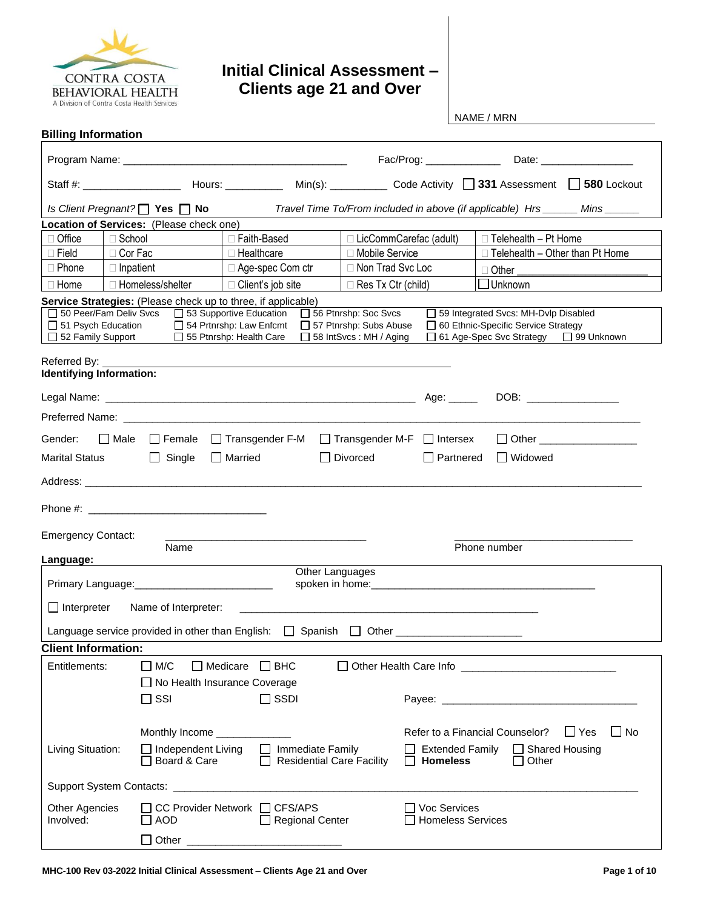

## **Initial Clinical Assessment – Clients age 21 and Over**

NAME / MRN

| <b>Billing Information</b>                                                             |                                                                                                                                                                                                                                |                                                           |                                                                                         |                                                                                                                                                                                                                                |  |
|----------------------------------------------------------------------------------------|--------------------------------------------------------------------------------------------------------------------------------------------------------------------------------------------------------------------------------|-----------------------------------------------------------|-----------------------------------------------------------------------------------------|--------------------------------------------------------------------------------------------------------------------------------------------------------------------------------------------------------------------------------|--|
|                                                                                        |                                                                                                                                                                                                                                |                                                           |                                                                                         |                                                                                                                                                                                                                                |  |
|                                                                                        |                                                                                                                                                                                                                                |                                                           |                                                                                         |                                                                                                                                                                                                                                |  |
|                                                                                        | Is Client Pregnant? $\Box$ Yes $\Box$ No                                                                                                                                                                                       |                                                           |                                                                                         | Travel Time To/From included in above (if applicable) Hrs ______ Mins ______                                                                                                                                                   |  |
|                                                                                        | Location of Services: (Please check one)                                                                                                                                                                                       |                                                           |                                                                                         |                                                                                                                                                                                                                                |  |
| $\Box$ Office                                                                          | $\Box$ School                                                                                                                                                                                                                  | □ Faith-Based                                             | □ LicCommCarefac (adult)                                                                | $\Box$ Telehealth - Pt Home                                                                                                                                                                                                    |  |
| $\Box$ Field                                                                           | □ Cor Fac                                                                                                                                                                                                                      | □ Healthcare                                              | □ Mobile Service                                                                        | $\Box$ Telehealth - Other than Pt Home                                                                                                                                                                                         |  |
| $\Box$ Phone                                                                           | $\Box$ Inpatient                                                                                                                                                                                                               | □ Age-spec Com ctr                                        | □ Non Trad Svc Loc                                                                      |                                                                                                                                                                                                                                |  |
| $\Box$ Home                                                                            | □ Homeless/shelter                                                                                                                                                                                                             | □ Client's job site                                       | $\Box$ Res Tx Ctr (child)                                                               | $\Box$ Other<br>$\Box$ Unknown                                                                                                                                                                                                 |  |
|                                                                                        | Service Strategies: (Please check up to three, if applicable)                                                                                                                                                                  |                                                           |                                                                                         |                                                                                                                                                                                                                                |  |
| $\Box$ 51 Psych Education<br>□ 52 Family Support                                       | □ 50 Peer/Fam Deliv Svcs □ 53 Supportive Education                                                                                                                                                                             | 54 Prtnrshp: Law Enfcmt<br>$\Box$ 55 Ptnrshp: Health Care | 56 Ptnrshp: Soc Svcs<br>57 Ptnrshp: Subs Abuse<br>$\Box$ 58 IntSvcs: MH / Aging         | 59 Integrated Svcs: MH-Dvlp Disabled<br>□ 60 Ethnic-Specific Service Strategy<br>□ 61 Age-Spec Svc Strategy<br>$\Box$ 99 Unknown                                                                                               |  |
| Identifying Information:                                                               |                                                                                                                                                                                                                                |                                                           |                                                                                         |                                                                                                                                                                                                                                |  |
|                                                                                        |                                                                                                                                                                                                                                |                                                           | Age: _____                                                                              | DOB: ________________                                                                                                                                                                                                          |  |
|                                                                                        |                                                                                                                                                                                                                                |                                                           |                                                                                         |                                                                                                                                                                                                                                |  |
| Gender:                                                                                |                                                                                                                                                                                                                                |                                                           | $\Box$ Male $\Box$ Female $\Box$ Transgender F-M $\Box$ Transgender M-F $\Box$ Intersex |                                                                                                                                                                                                                                |  |
| <b>Marital Status</b>                                                                  | $\Box$ Single                                                                                                                                                                                                                  | $\Box$ Married                                            | $\Box$ Divorced<br>$\Box$ Partnered                                                     | $\Box$ Widowed                                                                                                                                                                                                                 |  |
|                                                                                        | Address: Andreas Address Address Address Andreas Address Address Address Address Address Address Address Address Address Address Address Address Address Address Address Address Address Address Address Address Address Addre |                                                           |                                                                                         |                                                                                                                                                                                                                                |  |
|                                                                                        | Phone #:                                                                                                                                                                                                                       |                                                           |                                                                                         |                                                                                                                                                                                                                                |  |
| <b>Emergency Contact:</b>                                                              | Name                                                                                                                                                                                                                           |                                                           |                                                                                         | Phone number                                                                                                                                                                                                                   |  |
| Language:                                                                              |                                                                                                                                                                                                                                |                                                           |                                                                                         |                                                                                                                                                                                                                                |  |
|                                                                                        |                                                                                                                                                                                                                                | Other Languages                                           |                                                                                         |                                                                                                                                                                                                                                |  |
| $\Box$ Interpreter<br>Name of Interpreter:                                             |                                                                                                                                                                                                                                |                                                           |                                                                                         |                                                                                                                                                                                                                                |  |
|                                                                                        |                                                                                                                                                                                                                                |                                                           | Language service provided in other than English: □ Spanish □ Other ______________       |                                                                                                                                                                                                                                |  |
| <b>Client Information:</b>                                                             |                                                                                                                                                                                                                                |                                                           |                                                                                         |                                                                                                                                                                                                                                |  |
| ∩ M/C<br>$\Box$ Medicare $\Box$ BHC<br>Entitlements:<br>□ No Health Insurance Coverage |                                                                                                                                                                                                                                |                                                           |                                                                                         |                                                                                                                                                                                                                                |  |
|                                                                                        | $\Box$ SSI                                                                                                                                                                                                                     | $\Box$ SSDI                                               |                                                                                         | Payee: The contract of the contract of the contract of the contract of the contract of the contract of the contract of the contract of the contract of the contract of the contract of the contract of the contract of the con |  |
|                                                                                        | Monthly Income _______________                                                                                                                                                                                                 |                                                           |                                                                                         | Refer to a Financial Counselor?<br>$\Box$ Yes<br>$\Box$ No                                                                                                                                                                     |  |
| Living Situation:                                                                      | □ Independent Living<br>Board & Care                                                                                                                                                                                           | Immediate Family<br><b>Residential Care Facility</b>      | <b>Extended Family</b><br><b>Homeless</b>                                               | $\Box$ Shared Housing<br>Other                                                                                                                                                                                                 |  |
|                                                                                        |                                                                                                                                                                                                                                |                                                           |                                                                                         |                                                                                                                                                                                                                                |  |
| <b>Other Agencies</b><br>Involved:                                                     | AOD                                                                                                                                                                                                                            | CC Provider Network □ CFS/APS<br><b>Regional Center</b>   | Voc Services<br><b>Homeless Services</b>                                                |                                                                                                                                                                                                                                |  |
|                                                                                        | $\exists$ Other                                                                                                                                                                                                                |                                                           |                                                                                         |                                                                                                                                                                                                                                |  |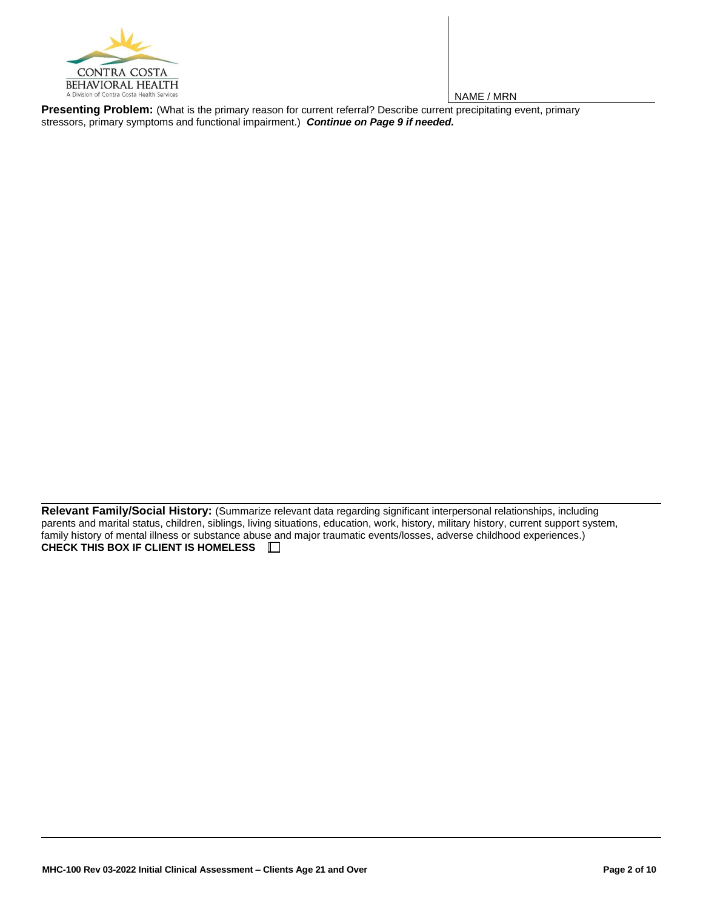

**Presenting Problem:** (What is the primary reason for current referral? Describe current precipitating event, primary stressors, primary symptoms and functional impairment.) *Continue on Page 9 if needed.*

**Relevant Family/Social History:** (Summarize relevant data regarding significant interpersonal relationships, including parents and marital status, children, siblings, living situations, education, work, history, military history, current support system, family history of mental illness or substance abuse and major traumatic events/losses, adverse childhood experiences.) **CHECK THIS BOX IF CLIENT IS HOMELESS**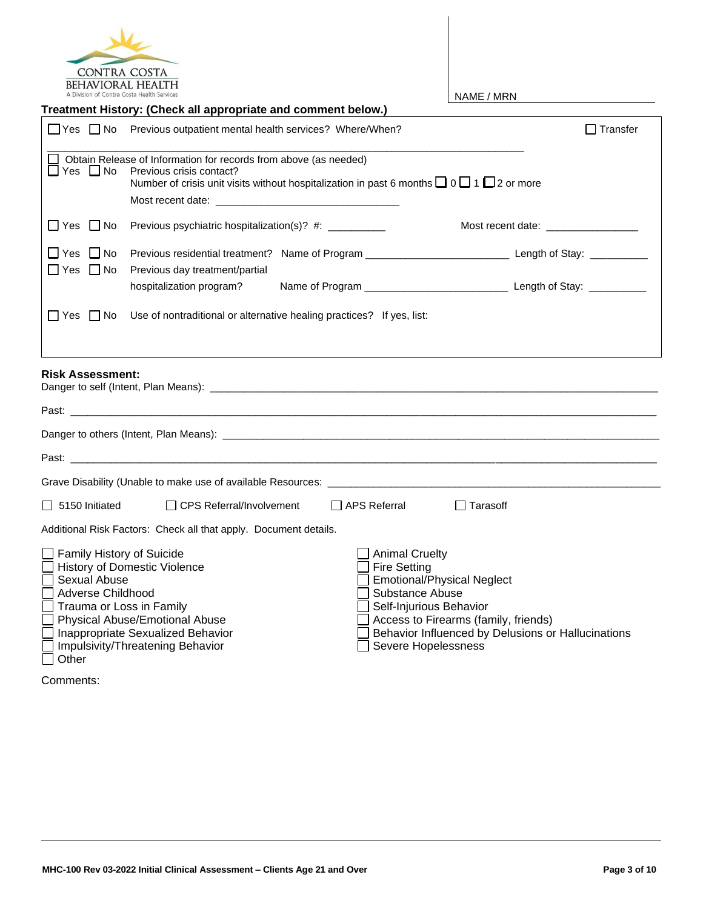

| A Division of Contra Costa Health Services                                                        |                                                                                                                                                                                                                                |                                                                                                                   | NAME / MRN                                                                                                                      |
|---------------------------------------------------------------------------------------------------|--------------------------------------------------------------------------------------------------------------------------------------------------------------------------------------------------------------------------------|-------------------------------------------------------------------------------------------------------------------|---------------------------------------------------------------------------------------------------------------------------------|
|                                                                                                   | Treatment History: (Check all appropriate and comment below.)                                                                                                                                                                  |                                                                                                                   |                                                                                                                                 |
|                                                                                                   | □ Yes □ No Previous outpatient mental health services? Where/When?                                                                                                                                                             |                                                                                                                   | $\Box$ Transfer                                                                                                                 |
| $\Box$ Yes $\Box$ No                                                                              | Obtain Release of Information for records from above (as needed)<br>Previous crisis contact?<br>Number of crisis unit visits without hospitalization in past 6 months $\Box$ 0 $\Box$ 1 $\Box$ 2 or more                       |                                                                                                                   |                                                                                                                                 |
| $\Box$ Yes $\Box$ No                                                                              | Previous psychiatric hospitalization(s)? #: _________                                                                                                                                                                          |                                                                                                                   | Most recent date: Note that the set of the set of the set of the set of the set of the set of the set of the s                  |
| $\Box$ Yes $\Box$ No<br>$\Box$ Yes $\Box$ No                                                      | Previous day treatment/partial                                                                                                                                                                                                 |                                                                                                                   |                                                                                                                                 |
|                                                                                                   | hospitalization program?                                                                                                                                                                                                       |                                                                                                                   |                                                                                                                                 |
| $\Box$ Yes $\Box$ No<br><b>Risk Assessment:</b>                                                   | Use of nontraditional or alternative healing practices? If yes, list:                                                                                                                                                          |                                                                                                                   |                                                                                                                                 |
|                                                                                                   | Past: the contract of the contract of the contract of the contract of the contract of the contract of the contract of the contract of the contract of the contract of the contract of the contract of the contract of the cont |                                                                                                                   |                                                                                                                                 |
|                                                                                                   |                                                                                                                                                                                                                                |                                                                                                                   |                                                                                                                                 |
|                                                                                                   | Past:                                                                                                                                                                                                                          |                                                                                                                   |                                                                                                                                 |
|                                                                                                   |                                                                                                                                                                                                                                |                                                                                                                   |                                                                                                                                 |
| 5150 Initiated                                                                                    | <b>CPS Referral/Involvement</b>                                                                                                                                                                                                | <b>□ APS Referral</b>                                                                                             | $\Box$ Tarasoff                                                                                                                 |
|                                                                                                   | Additional Risk Factors: Check all that apply. Document details.                                                                                                                                                               |                                                                                                                   |                                                                                                                                 |
| <b>Family History of Suicide</b><br>Sexual Abuse<br>Adverse Childhood<br>Trauma or Loss in Family | <b>History of Domestic Violence</b><br>Physical Abuse/Emotional Abuse<br>Inappropriate Sexualized Behavior<br>Impulsivity/Threatening Behavior                                                                                 | <b>Animal Cruelty</b><br><b>Fire Setting</b><br>Substance Abuse<br>Self-Injurious Behavior<br>Severe Hopelessness | <b>Emotional/Physical Neglect</b><br>Access to Firearms (family, friends)<br>Behavior Influenced by Delusions or Hallucinations |

Comments:

 $\overline{\Box}$  Other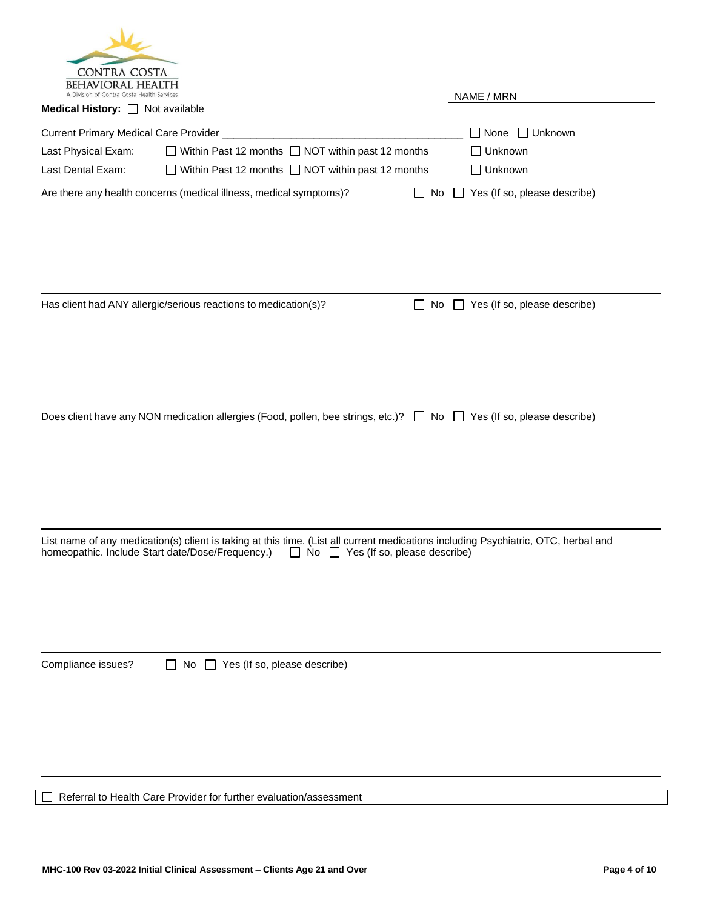| CONTRA COSTA<br>BEHAVIORAL HEALTH<br>sion of Contra Costa Health Services                                                                                                                                                                                                                                               | NAME / MRN                                                                         |
|-------------------------------------------------------------------------------------------------------------------------------------------------------------------------------------------------------------------------------------------------------------------------------------------------------------------------|------------------------------------------------------------------------------------|
| Medical History: Not available                                                                                                                                                                                                                                                                                          |                                                                                    |
| Current Primary Medical Care Provider<br>$\Box$ Within Past 12 months $\Box$ NOT within past 12 months<br>Last Physical Exam:<br>Last Dental Exam:<br>Within Past 12 months $\Box$ NOT within past 12 months<br>Are there any health concerns (medical illness, medical symptoms)?<br>$\mathcal{L}^{\mathcal{A}}$<br>No | $\Box$ Unknown<br>ヿ None<br>∃ Unknown<br>□ Unknown<br>Yes (If so, please describe) |
| Has client had ANY allergic/serious reactions to medication(s)?<br>$\Box$                                                                                                                                                                                                                                               | No $\Box$ Yes (If so, please describe)                                             |
| Does client have any NON medication allergies (Food, pollen, bee strings, etc.)? □ No □ Yes (If so, please describe)                                                                                                                                                                                                    |                                                                                    |
| List name of any medication(s) client is taking at this time. (List all current medications including Psychiatric, OTC, herbal and<br>homeopathic. Include Start date/Dose/Frequency.)<br>$\Box$ No $\Box$ Yes (If so, please describe)                                                                                 |                                                                                    |
| Compliance issues?<br>$\Box$ No $\Box$ Yes (If so, please describe)                                                                                                                                                                                                                                                     |                                                                                    |

Referral to Health Care Provider for further evaluation/assessment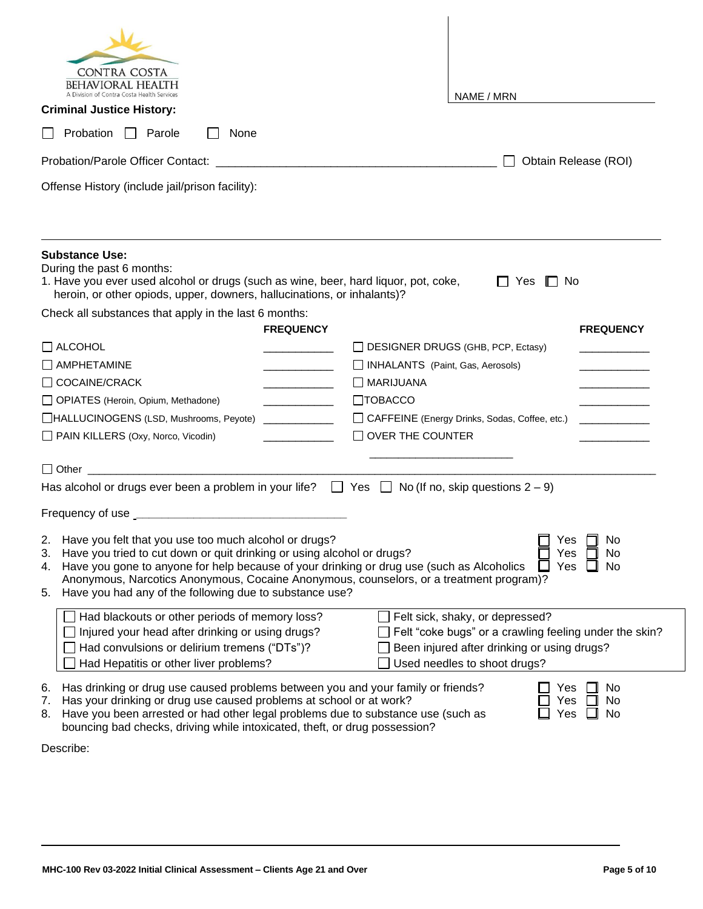| <b>CONTRA COSTA</b><br><b>BEHAVIORAL HEALTH</b><br>ion of Contra Costa Health Service                                                                                                                                                                                                                                                                                                                                                             |                         | NAME / MRN                                                                                                                                                               |                      |  |  |
|---------------------------------------------------------------------------------------------------------------------------------------------------------------------------------------------------------------------------------------------------------------------------------------------------------------------------------------------------------------------------------------------------------------------------------------------------|-------------------------|--------------------------------------------------------------------------------------------------------------------------------------------------------------------------|----------------------|--|--|
| <b>Criminal Justice History:</b>                                                                                                                                                                                                                                                                                                                                                                                                                  |                         |                                                                                                                                                                          |                      |  |  |
| <b>Probation</b><br>Parole<br>None                                                                                                                                                                                                                                                                                                                                                                                                                |                         |                                                                                                                                                                          |                      |  |  |
| <b>Probation/Parole Officer Contact:</b>                                                                                                                                                                                                                                                                                                                                                                                                          |                         |                                                                                                                                                                          | Obtain Release (ROI) |  |  |
| Offense History (include jail/prison facility):                                                                                                                                                                                                                                                                                                                                                                                                   |                         |                                                                                                                                                                          |                      |  |  |
| <b>Substance Use:</b><br>During the past 6 months:<br>1. Have you ever used alcohol or drugs (such as wine, beer, hard liquor, pot, coke,<br>heroin, or other opiods, upper, downers, hallucinations, or inhalants)?                                                                                                                                                                                                                              |                         | Yes<br>II No                                                                                                                                                             |                      |  |  |
| Check all substances that apply in the last 6 months:                                                                                                                                                                                                                                                                                                                                                                                             | <b>FREQUENCY</b>        |                                                                                                                                                                          |                      |  |  |
| $\Box$ ALCOHOL                                                                                                                                                                                                                                                                                                                                                                                                                                    |                         | DESIGNER DRUGS (GHB, PCP, Ectasy)                                                                                                                                        | <b>FREQUENCY</b>     |  |  |
| AMPHETAMINE                                                                                                                                                                                                                                                                                                                                                                                                                                       |                         | INHALANTS (Paint, Gas, Aerosols)                                                                                                                                         |                      |  |  |
| $\Box$ COCAINE/CRACK                                                                                                                                                                                                                                                                                                                                                                                                                              | I MARIJUANA             |                                                                                                                                                                          |                      |  |  |
| □ OPIATES (Heroin, Opium, Methadone)                                                                                                                                                                                                                                                                                                                                                                                                              | $\Box$ TOBACCO          |                                                                                                                                                                          |                      |  |  |
| HALLUCINOGENS (LSD, Mushrooms, Peyote)                                                                                                                                                                                                                                                                                                                                                                                                            |                         | CAFFEINE (Energy Drinks, Sodas, Coffee, etc.)                                                                                                                            |                      |  |  |
| PAIN KILLERS (Oxy, Norco, Vicodin)                                                                                                                                                                                                                                                                                                                                                                                                                | $\Box$ OVER THE COUNTER |                                                                                                                                                                          |                      |  |  |
|                                                                                                                                                                                                                                                                                                                                                                                                                                                   |                         |                                                                                                                                                                          |                      |  |  |
| Has alcohol or drugs ever been a problem in your life? $\Box$ Yes $\Box$ No (If no, skip questions 2 – 9)                                                                                                                                                                                                                                                                                                                                         |                         |                                                                                                                                                                          |                      |  |  |
|                                                                                                                                                                                                                                                                                                                                                                                                                                                   |                         |                                                                                                                                                                          |                      |  |  |
| Have you felt that you use too much alcohol or drugs?<br>Yes<br>2.<br>No<br>Have you tried to cut down or quit drinking or using alcohol or drugs?<br>Yes<br>No<br>3.<br>Have you gone to anyone for help because of your drinking or drug use (such as Alcoholics<br>No<br>Yes<br>4.<br>Anonymous, Narcotics Anonymous, Cocaine Anonymous, counselors, or a treatment program)?<br>Have you had any of the following due to substance use?<br>5. |                         |                                                                                                                                                                          |                      |  |  |
| Had blackouts or other periods of memory loss?<br>Injured your head after drinking or using drugs?<br>Had convulsions or delirium tremens ("DTs")?<br>Had Hepatitis or other liver problems?                                                                                                                                                                                                                                                      |                         | Felt sick, shaky, or depressed?<br>Felt "coke bugs" or a crawling feeling under the skin?<br>Been injured after drinking or using drugs?<br>Used needles to shoot drugs? |                      |  |  |
| Has drinking or drug use caused problems between you and your family or friends?<br>6.<br>Has your drinking or drug use caused problems at school or at work?<br>7.<br>Have you been arrested or had other legal problems due to substance use (such as<br>8.<br>bouncing bad checks, driving while intoxicated, theft, or drug possession?                                                                                                       |                         | Yes<br>Yes<br>Yes                                                                                                                                                        | No<br>No<br>No       |  |  |

Describe: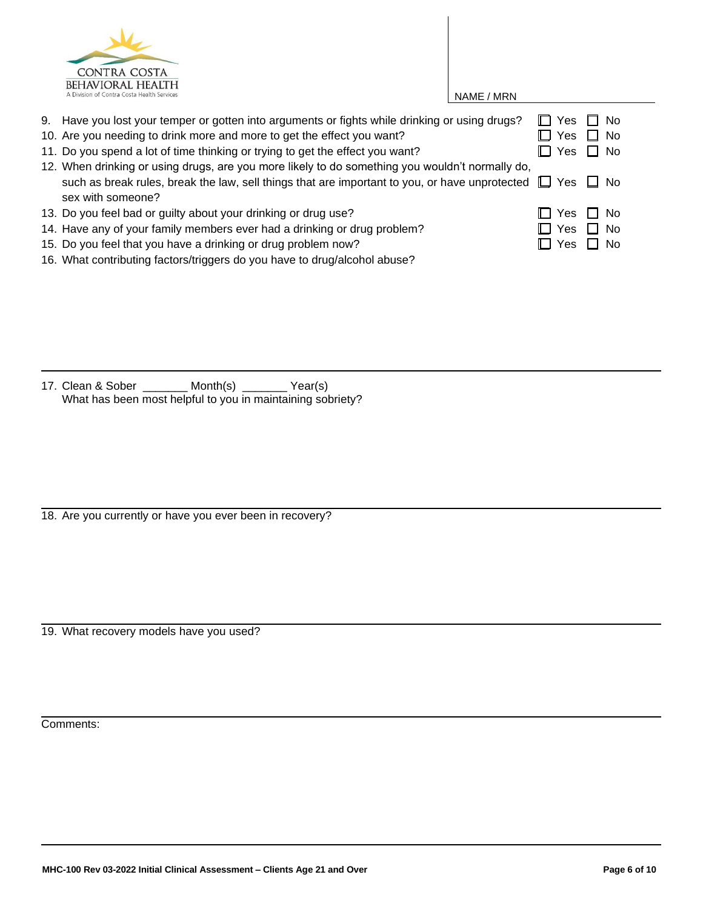

| 9. Have you lost your temper or gotten into arguments or fights while drinking or using drugs?                      | $\Box$ Yes |            | 7 No                 |  |
|---------------------------------------------------------------------------------------------------------------------|------------|------------|----------------------|--|
| 10. Are you needing to drink more and more to get the effect you want?                                              |            | Yes        | $\Box$ No            |  |
| 11. Do you spend a lot of time thinking or trying to get the effect you want?                                       |            | $\Box$ Yes | $\Box$ No            |  |
| 12. When drinking or using drugs, are you more likely to do something you wouldn't normally do,                     |            |            |                      |  |
| such as break rules, break the law, sell things that are important to you, or have unprotected $\Box$ Yes $\Box$ No |            |            |                      |  |
| sex with someone?                                                                                                   |            |            |                      |  |
| 13. Do you feel bad or guilty about your drinking or drug use?                                                      |            |            | $\Box$ Yes $\Box$ No |  |
| 14. Have any of your family members ever had a drinking or drug problem?                                            |            | $\Box$ Yes | $\Box$ No            |  |
| 15. Do you feel that you have a drinking or drug problem now?                                                       |            | I∟ Yes     | $\Box$ No            |  |
|                                                                                                                     |            |            |                      |  |

16. What contributing factors/triggers do you have to drug/alcohol abuse?

17. Clean & Sober \_\_\_\_\_\_\_ Month(s) \_\_\_\_\_\_\_ Year(s) What has been most helpful to you in maintaining sobriety?

18. Are you currently or have you ever been in recovery?

19. What recovery models have you used?

Comments: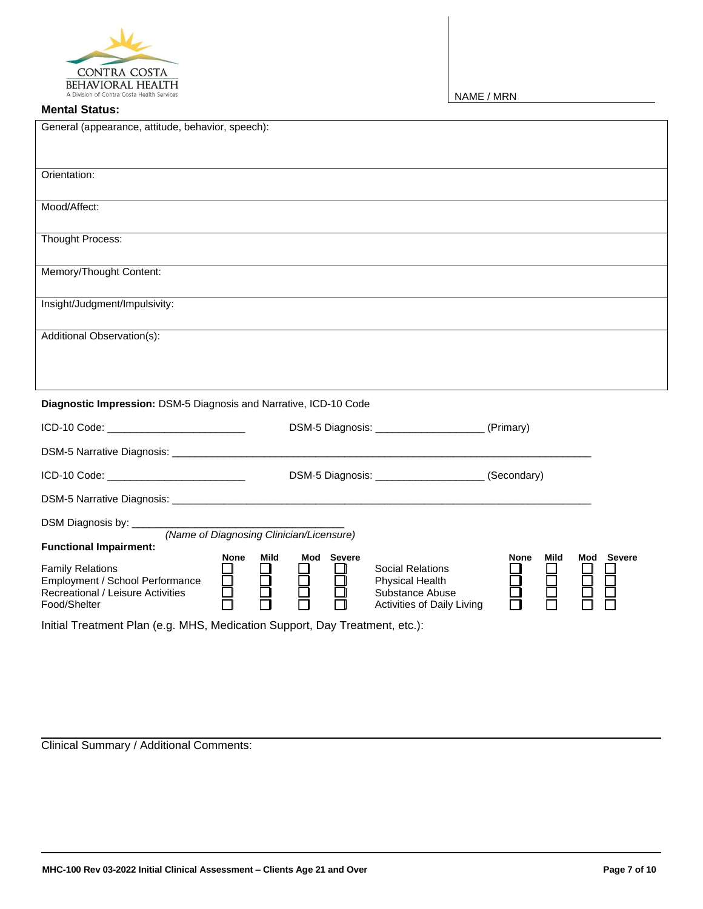

## **Mental Status:**

NAME / MRN

| General (appearance, attitude, behavior, speech):                                                                                          |                                                                                                                     |                                 |
|--------------------------------------------------------------------------------------------------------------------------------------------|---------------------------------------------------------------------------------------------------------------------|---------------------------------|
| Orientation:                                                                                                                               |                                                                                                                     |                                 |
| Mood/Affect:                                                                                                                               |                                                                                                                     |                                 |
| Thought Process:                                                                                                                           |                                                                                                                     |                                 |
| Memory/Thought Content:                                                                                                                    |                                                                                                                     |                                 |
| Insight/Judgment/Impulsivity:                                                                                                              |                                                                                                                     |                                 |
| Additional Observation(s):                                                                                                                 |                                                                                                                     |                                 |
|                                                                                                                                            |                                                                                                                     |                                 |
| Diagnostic Impression: DSM-5 Diagnosis and Narrative, ICD-10 Code                                                                          |                                                                                                                     |                                 |
| ICD-10 Code: __________________________                                                                                                    | DSM-5 Diagnosis: ________________________(Primary)                                                                  |                                 |
|                                                                                                                                            |                                                                                                                     |                                 |
| ICD-10 Code: ____________________________                                                                                                  | DSM-5 Diagnosis: ________________________(Secondary)                                                                |                                 |
|                                                                                                                                            |                                                                                                                     |                                 |
| DSM Diagnosis by: ________                                                                                                                 |                                                                                                                     |                                 |
| (Name of Diagnosing Clinician/Licensure)<br><b>Functional Impairment:</b>                                                                  |                                                                                                                     |                                 |
| None<br>Mild<br><b>Family Relations</b><br>85<br>8<br>Employment / School Performance<br>Recreational / Leisure Activities<br>Food/Shelter | Mod Severe<br><b>Social Relations</b><br>8<br>8<br>Physical Health<br>Substance Abuse<br>Activities of Daily Living | Mod Severe<br>Mild<br>None<br>Ē |
| Initial Treatment Plan (e.g. MHS, Medication Support, Day Treatment, etc.):                                                                |                                                                                                                     |                                 |

Clinical Summary / Additional Comments: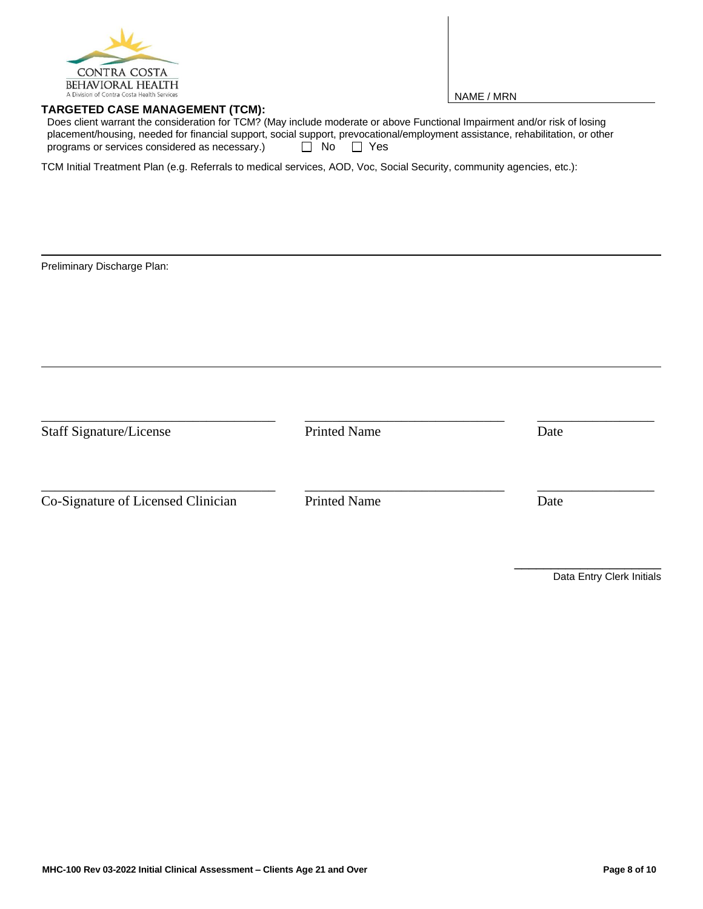

## **TARGETED CASE MANAGEMENT (TCM):**

NAME / MRN

Does client warrant the consideration for TCM? (May include moderate or above Functional Impairment and/or risk of losing placement/housing, needed for financial support, social support, prevocational/employment assistance, rehabilitation, or other programs or services considered as necessary.)  $\Box$  No  $\Box$  Yes

TCM Initial Treatment Plan (e.g. Referrals to medical services, AOD, Voc, Social Security, community agencies, etc.):

Preliminary Discharge Plan:

| <b>Staff Signature/License</b>     | <b>Printed Name</b> | Date |  |
|------------------------------------|---------------------|------|--|
| Co-Signature of Licensed Clinician | <b>Printed Name</b> | Date |  |

Data Entry Clerk Initials

\_\_\_\_\_\_\_\_\_\_\_\_\_\_\_\_\_\_\_\_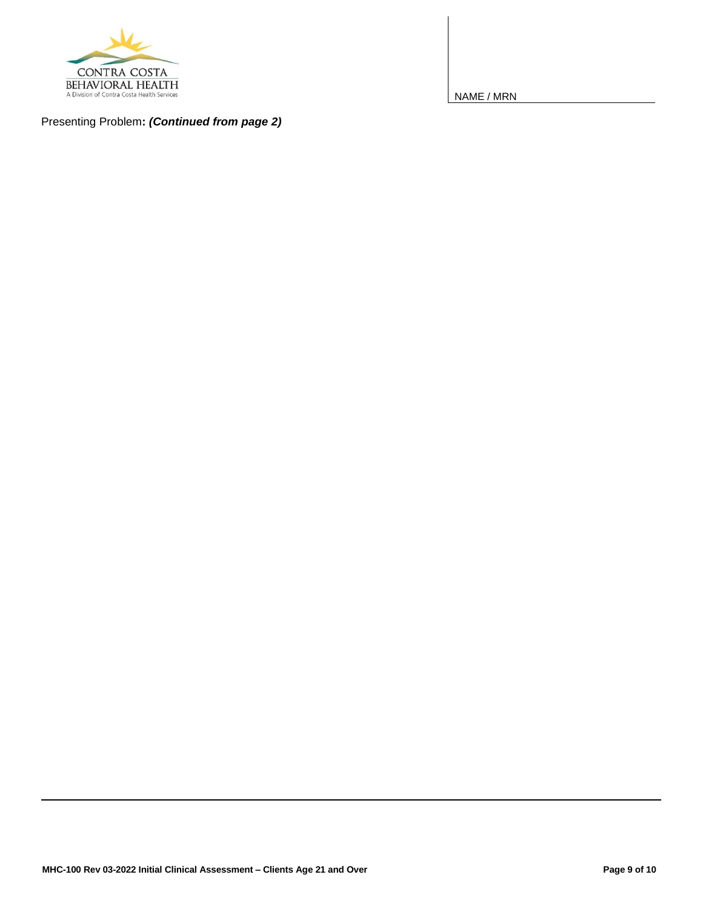

Presenting Problem**:** *(Continued from page 2)*